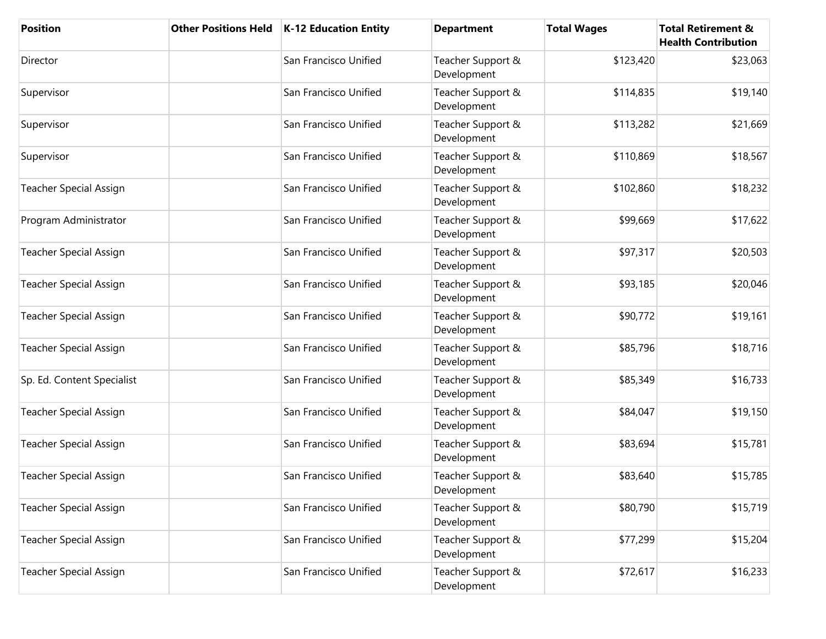| <b>Position</b>               | <b>Other Positions Held</b> | K-12 Education Entity | <b>Department</b>                | <b>Total Wages</b> | <b>Total Retirement &amp;</b><br><b>Health Contribution</b> |
|-------------------------------|-----------------------------|-----------------------|----------------------------------|--------------------|-------------------------------------------------------------|
| Director                      |                             | San Francisco Unified | Teacher Support &<br>Development | \$123,420          | \$23,063                                                    |
| Supervisor                    |                             | San Francisco Unified | Teacher Support &<br>Development | \$114,835          | \$19,140                                                    |
| Supervisor                    |                             | San Francisco Unified | Teacher Support &<br>Development | \$113,282          | \$21,669                                                    |
| Supervisor                    |                             | San Francisco Unified | Teacher Support &<br>Development | \$110,869          | \$18,567                                                    |
| <b>Teacher Special Assign</b> |                             | San Francisco Unified | Teacher Support &<br>Development | \$102,860          | \$18,232                                                    |
| Program Administrator         |                             | San Francisco Unified | Teacher Support &<br>Development | \$99,669           | \$17,622                                                    |
| <b>Teacher Special Assign</b> |                             | San Francisco Unified | Teacher Support &<br>Development | \$97,317           | \$20,503                                                    |
| <b>Teacher Special Assign</b> |                             | San Francisco Unified | Teacher Support &<br>Development | \$93,185           | \$20,046                                                    |
| <b>Teacher Special Assign</b> |                             | San Francisco Unified | Teacher Support &<br>Development | \$90,772           | \$19,161                                                    |
| <b>Teacher Special Assign</b> |                             | San Francisco Unified | Teacher Support &<br>Development | \$85,796           | \$18,716                                                    |
| Sp. Ed. Content Specialist    |                             | San Francisco Unified | Teacher Support &<br>Development | \$85,349           | \$16,733                                                    |
| <b>Teacher Special Assign</b> |                             | San Francisco Unified | Teacher Support &<br>Development | \$84,047           | \$19,150                                                    |
| <b>Teacher Special Assign</b> |                             | San Francisco Unified | Teacher Support &<br>Development | \$83,694           | \$15,781                                                    |
| <b>Teacher Special Assign</b> |                             | San Francisco Unified | Teacher Support &<br>Development | \$83,640           | \$15,785                                                    |
| <b>Teacher Special Assign</b> |                             | San Francisco Unified | Teacher Support &<br>Development | \$80,790           | \$15,719                                                    |
| <b>Teacher Special Assign</b> |                             | San Francisco Unified | Teacher Support &<br>Development | \$77,299           | \$15,204                                                    |
| <b>Teacher Special Assign</b> |                             | San Francisco Unified | Teacher Support &<br>Development | \$72,617           | \$16,233                                                    |